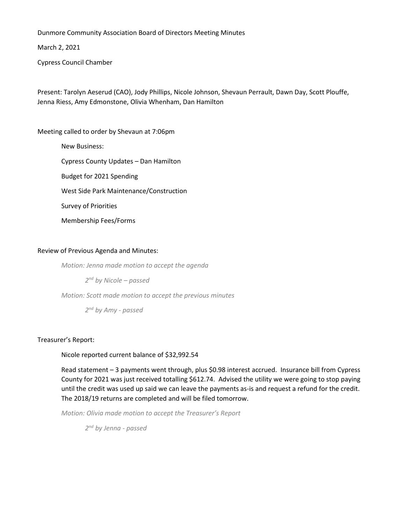Dunmore Community Association Board of Directors Meeting Minutes

March 2, 2021

Cypress Council Chamber

Present: Tarolyn Aeserud (CAO), Jody Phillips, Nicole Johnson, Shevaun Perrault, Dawn Day, Scott Plouffe, Jenna Riess, Amy Edmonstone, Olivia Whenham, Dan Hamilton

Meeting called to order by Shevaun at 7:06pm

New Business: Cypress County Updates – Dan Hamilton Budget for 2021 Spending West Side Park Maintenance/Construction Survey of Priorities Membership Fees/Forms

## Review of Previous Agenda and Minutes:

*Motion: Jenna made motion to accept the agenda*

*2 nd by Nicole – passed*

*Motion: Scott made motion to accept the previous minutes*

*2 nd by Amy - passed*

### Treasurer's Report:

Nicole reported current balance of \$32,992.54

Read statement – 3 payments went through, plus \$0.98 interest accrued. Insurance bill from Cypress County for 2021 was just received totalling \$612.74. Advised the utility we were going to stop paying until the credit was used up said we can leave the payments as-is and request a refund for the credit. The 2018/19 returns are completed and will be filed tomorrow.

*Motion: Olivia made motion to accept the Treasurer's Report*

*2 nd by Jenna - passed*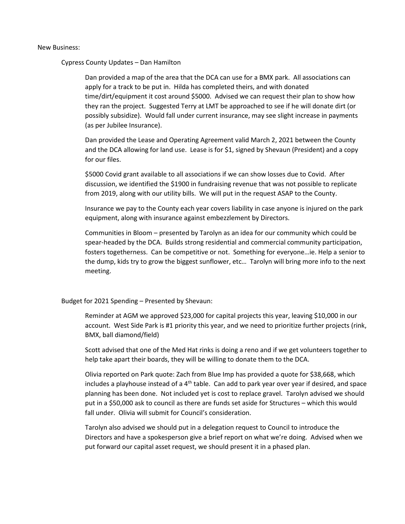### New Business:

Cypress County Updates – Dan Hamilton

Dan provided a map of the area that the DCA can use for a BMX park. All associations can apply for a track to be put in. Hilda has completed theirs, and with donated time/dirt/equipment it cost around \$5000. Advised we can request their plan to show how they ran the project. Suggested Terry at LMT be approached to see if he will donate dirt (or possibly subsidize). Would fall under current insurance, may see slight increase in payments (as per Jubilee Insurance).

Dan provided the Lease and Operating Agreement valid March 2, 2021 between the County and the DCA allowing for land use. Lease is for \$1, signed by Shevaun (President) and a copy for our files.

\$5000 Covid grant available to all associations if we can show losses due to Covid. After discussion, we identified the \$1900 in fundraising revenue that was not possible to replicate from 2019, along with our utility bills. We will put in the request ASAP to the County.

Insurance we pay to the County each year covers liability in case anyone is injured on the park equipment, along with insurance against embezzlement by Directors.

Communities in Bloom – presented by Tarolyn as an idea for our community which could be spear-headed by the DCA. Builds strong residential and commercial community participation, fosters togetherness. Can be competitive or not. Something for everyone…ie. Help a senior to the dump, kids try to grow the biggest sunflower, etc… Tarolyn will bring more info to the next meeting.

#### Budget for 2021 Spending – Presented by Shevaun:

Reminder at AGM we approved \$23,000 for capital projects this year, leaving \$10,000 in our account. West Side Park is #1 priority this year, and we need to prioritize further projects (rink, BMX, ball diamond/field)

Scott advised that one of the Med Hat rinks is doing a reno and if we get volunteers together to help take apart their boards, they will be willing to donate them to the DCA.

Olivia reported on Park quote: Zach from Blue Imp has provided a quote for \$38,668, which includes a playhouse instead of a 4<sup>th</sup> table. Can add to park year over year if desired, and space planning has been done. Not included yet is cost to replace gravel. Tarolyn advised we should put in a \$50,000 ask to council as there are funds set aside for Structures – which this would fall under. Olivia will submit for Council's consideration.

Tarolyn also advised we should put in a delegation request to Council to introduce the Directors and have a spokesperson give a brief report on what we're doing. Advised when we put forward our capital asset request, we should present it in a phased plan.